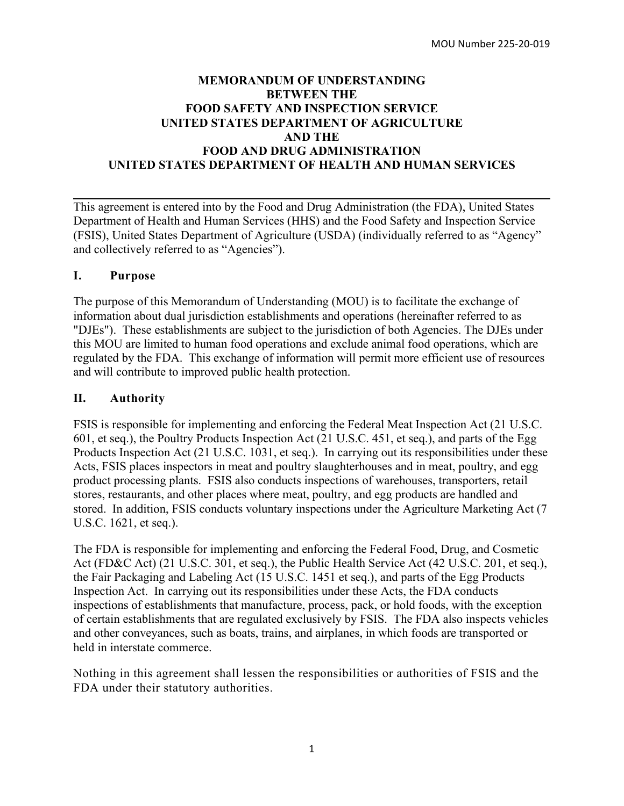## **MEMORANDUM OF UNDERSTANDING BETWEEN THE FOOD SAFETY AND INSPECTION SERVICE UNITED STATES DEPARTMENT OF AGRICULTURE AND THE FOOD AND DRUG ADMINISTRATION UNITED STATES DEPARTMENT OF HEALTH AND HUMAN SERVICES**

This agreement is entered into by the Food and Drug Administration (the FDA), United States Department of Health and Human Services (HHS) and the Food Safety and Inspection Service (FSIS), United States Department of Agriculture (USDA) (individually referred to as "Agency" and collectively referred to as "Agencies").

# **I. Purpose**

The purpose of this Memorandum of Understanding (MOU) is to facilitate the exchange of information about dual jurisdiction establishments and operations (hereinafter referred to as "DJEs"). These establishments are subject to the jurisdiction of both Agencies. The DJEs under this MOU are limited to human food operations and exclude animal food operations, which are regulated by the FDA. This exchange of information will permit more efficient use of resources and will contribute to improved public health protection.

# **II. Authority**

FSIS is responsible for implementing and enforcing the Federal Meat Inspection Act (21 U.S.C. 601, et seq.), the Poultry Products Inspection Act (21 U.S.C. 451, et seq.), and parts of the Egg Products Inspection Act (21 U.S.C. 1031, et seq.). In carrying out its responsibilities under these Acts, FSIS places inspectors in meat and poultry slaughterhouses and in meat, poultry, and egg product processing plants. FSIS also conducts inspections of warehouses, transporters, retail stores, restaurants, and other places where meat, poultry, and egg products are handled and stored. In addition, FSIS conducts voluntary inspections under the Agriculture Marketing Act (7 U.S.C. 1621, et seq.).

The FDA is responsible for implementing and enforcing the Federal Food, Drug, and Cosmetic Act (FD&C Act) (21 U.S.C. 301, et seq.), the Public Health Service Act (42 U.S.C. 201, et seq.), the Fair Packaging and Labeling Act (15 U.S.C. 1451 et seq.), and parts of the Egg Products Inspection Act. In carrying out its responsibilities under these Acts, the FDA conducts inspections of establishments that manufacture, process, pack, or hold foods, with the exception of certain establishments that are regulated exclusively by FSIS. The FDA also inspects vehicles and other conveyances, such as boats, trains, and airplanes, in which foods are transported or held in interstate commerce.

Nothing in this agreement shall lessen the responsibilities or authorities of FSIS and the FDA under their statutory authorities.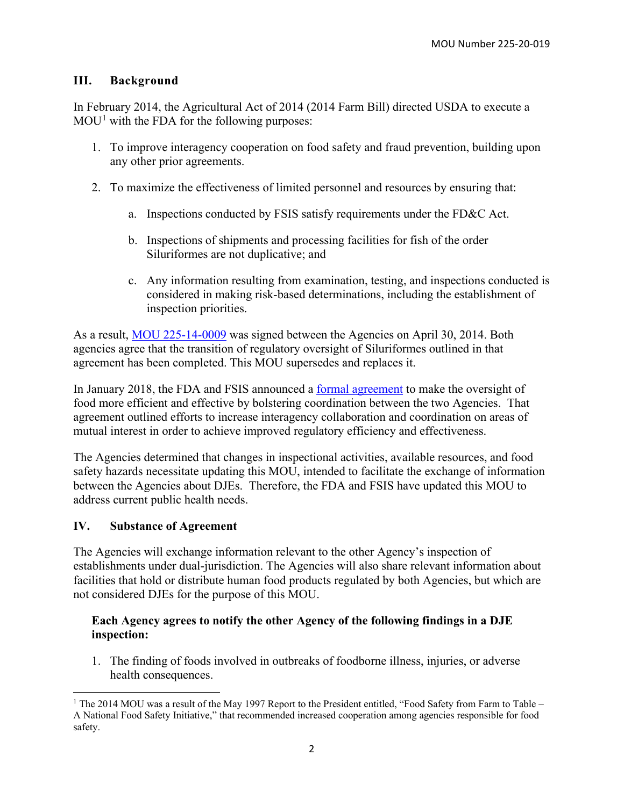# **III. Background**

In February 2014, the Agricultural Act of 2014 (2014 Farm Bill) directed USDA to execute a  $MOU<sup>1</sup>$  $MOU<sup>1</sup>$  $MOU<sup>1</sup>$  with the FDA for the following purposes:

- 1. To improve interagency cooperation on food safety and fraud prevention, building upon any other prior agreements.
- 2. To maximize the effectiveness of limited personnel and resources by ensuring that:
	- a. Inspections conducted by FSIS satisfy requirements under the FD&C Act.
	- b. Inspections of shipments and processing facilities for fish of the order Siluriformes are not duplicative; and
	- c. Any information resulting from examination, testing, and inspections conducted is considered in making risk-based determinations, including the establishment of inspection priorities.

As a result, MOU [225-14-0009](https://www.fda.gov/about-fda/domestic-mous/mou-225-14-0009) was signed between the Agencies on April 30, 2014. Both agencies agree that the transition of regulatory oversight of Siluriformes outlined in that agreement has been completed. This MOU supersedes and replaces it.

In January 2018, the FDA and FSIS announced a [formal agreement](https://www.fda.gov/food/domestic-interagency-agreements-food/formal-agreement-between-usda-and-fda-relative-cooperation-and-coordination) to make the oversight of food more efficient and effective by bolstering coordination between the two Agencies. That agreement outlined efforts to increase interagency collaboration and coordination on areas of mutual interest in order to achieve improved regulatory efficiency and effectiveness.

The Agencies determined that changes in inspectional activities, available resources, and food safety hazards necessitate updating this MOU, intended to facilitate the exchange of information between the Agencies about DJEs. Therefore, the FDA and FSIS have updated this MOU to address current public health needs.

# **IV. Substance of Agreement**

The Agencies will exchange information relevant to the other Agency's inspection of establishments under dual-jurisdiction. The Agencies will also share relevant information about facilities that hold or distribute human food products regulated by both Agencies, but which are not considered DJEs for the purpose of this MOU.

#### **Each Agency agrees to notify the other Agency of the following findings in a DJE inspection:**

1. The finding of foods involved in outbreaks of foodborne illness, injuries, or adverse health consequences.

<span id="page-1-0"></span><sup>&</sup>lt;sup>1</sup> The 2014 MOU was a result of the May 1997 Report to the President entitled, "Food Safety from Farm to Table – A National Food Safety Initiative," that recommended increased cooperation among agencies responsible for food safety.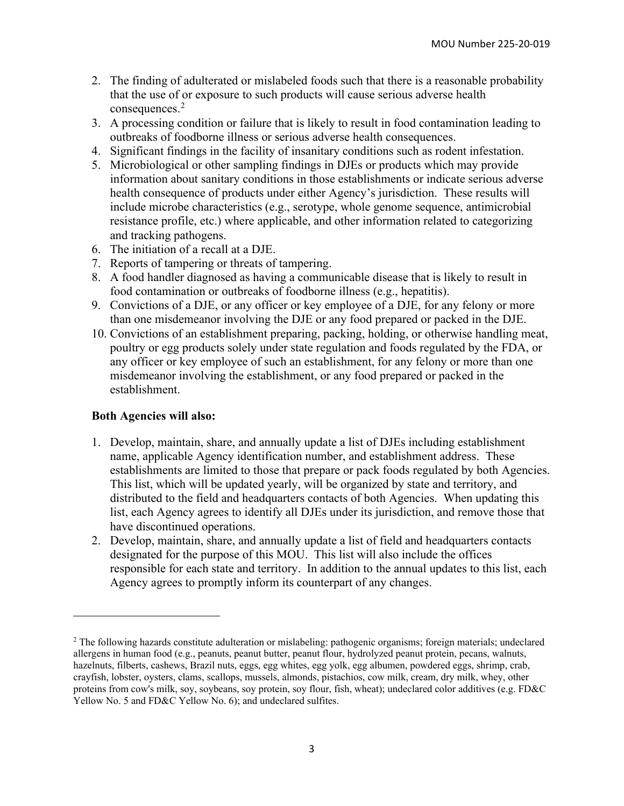- 2. The finding of adulterated or mislabeled foods such that there is a reasonable probability that the use of or exposure to such products will cause serious adverse health consequences.<sup>[2](#page-2-0)</sup>
- 3. A processing condition or failure that is likely to result in food contamination leading to outbreaks of foodborne illness or serious adverse health consequences.
- 4. Significant findings in the facility of insanitary conditions such as rodent infestation.
- 5. Microbiological or other sampling findings in DJEs or products which may provide information about sanitary conditions in those establishments or indicate serious adverse health consequence of products under either Agency's jurisdiction. These results will include microbe characteristics (e.g., serotype, whole genome sequence, antimicrobial resistance profile, etc.) where applicable, and other information related to categorizing and tracking pathogens.
- 6. The initiation of a recall at a DJE.
- 7. Reports of tampering or threats of tampering.
- 8. A food handler diagnosed as having a communicable disease that is likely to result in food contamination or outbreaks of foodborne illness (e.g., hepatitis).
- 9. Convictions of a DJE, or any officer or key employee of a DJE, for any felony or more than one misdemeanor involving the DJE or any food prepared or packed in the DJE.
- 10. Convictions of an establishment preparing, packing, holding, or otherwise handling meat, poultry or egg products solely under state regulation and foods regulated by the FDA, or any officer or key employee of such an establishment, for any felony or more than one misdemeanor involving the establishment, or any food prepared or packed in the establishment.

#### **Both Agencies will also:**

- 1. Develop, maintain, share, and annually update a list of DJEs including establishment name, applicable Agency identification number, and establishment address. These establishments are limited to those that prepare or pack foods regulated by both Agencies. This list, which will be updated yearly, will be organized by state and territory, and distributed to the field and headquarters contacts of both Agencies. When updating this list, each Agency agrees to identify all DJEs under its jurisdiction, and remove those that have discontinued operations.
- 2. Develop, maintain, share, and annually update a list of field and headquarters contacts designated for the purpose of this MOU. This list will also include the offices responsible for each state and territory. In addition to the annual updates to this list, each Agency agrees to promptly inform its counterpart of any changes.

<span id="page-2-0"></span><sup>&</sup>lt;sup>2</sup> The following hazards constitute adulteration or mislabeling: pathogenic organisms; foreign materials; undeclared allergens in human food (e.g., peanuts, peanut butter, peanut flour, hydrolyzed peanut protein, pecans, walnuts, hazelnuts, filberts, cashews, Brazil nuts, eggs, egg whites, egg yolk, egg albumen, powdered eggs, shrimp, crab, crayfish, lobster, oysters, clams, scallops, mussels, almonds, pistachios, cow milk, cream, dry milk, whey, other proteins from cow's milk, soy, soybeans, soy protein, soy flour, fish, wheat); undeclared color additives (e.g. FD&C Yellow No. 5 and FD&C Yellow No. 6); and undeclared sulfites.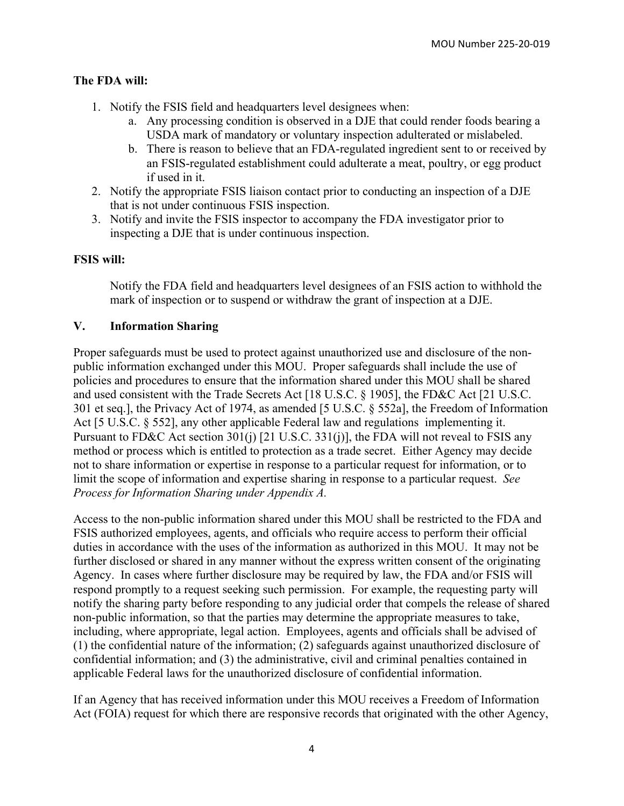# **The FDA will:**

- 1. Notify the FSIS field and headquarters level designees when:
	- a. Any processing condition is observed in a DJE that could render foods bearing a USDA mark of mandatory or voluntary inspection adulterated or mislabeled.
	- b. There is reason to believe that an FDA-regulated ingredient sent to or received by an FSIS-regulated establishment could adulterate a meat, poultry, or egg product if used in it.
- 2. Notify the appropriate FSIS liaison contact prior to conducting an inspection of a DJE that is not under continuous FSIS inspection.
- 3. Notify and invite the FSIS inspector to accompany the FDA investigator prior to inspecting a DJE that is under continuous inspection.

#### **FSIS will:**

Notify the FDA field and headquarters level designees of an FSIS action to withhold the mark of inspection or to suspend or withdraw the grant of inspection at a DJE.

#### **V. Information Sharing**

Proper safeguards must be used to protect against unauthorized use and disclosure of the nonpublic information exchanged under this MOU. Proper safeguards shall include the use of policies and procedures to ensure that the information shared under this MOU shall be shared and used consistent with the Trade Secrets Act [18 U.S.C. § 1905], the FD&C Act [21 U.S.C. 301 et seq.], the Privacy Act of 1974, as amended [5 U.S.C. § 552a], the Freedom of Information Act [5 U.S.C. § 552], any other applicable Federal law and regulations implementing it. Pursuant to FD&C Act section 301(j) [21 U.S.C. 331(j)], the FDA will not reveal to FSIS any method or process which is entitled to protection as a trade secret. Either Agency may decide not to share information or expertise in response to a particular request for information, or to limit the scope of information and expertise sharing in response to a particular request. *See Process for Information Sharing under Appendix A.*

Access to the non-public information shared under this MOU shall be restricted to the FDA and FSIS authorized employees, agents, and officials who require access to perform their official duties in accordance with the uses of the information as authorized in this MOU. It may not be further disclosed or shared in any manner without the express written consent of the originating Agency. In cases where further disclosure may be required by law, the FDA and/or FSIS will respond promptly to a request seeking such permission. For example, the requesting party will notify the sharing party before responding to any judicial order that compels the release of shared non-public information, so that the parties may determine the appropriate measures to take, including, where appropriate, legal action. Employees, agents and officials shall be advised of (1) the confidential nature of the information; (2) safeguards against unauthorized disclosure of confidential information; and (3) the administrative, civil and criminal penalties contained in applicable Federal laws for the unauthorized disclosure of confidential information.

If an Agency that has received information under this MOU receives a Freedom of Information Act (FOIA) request for which there are responsive records that originated with the other Agency,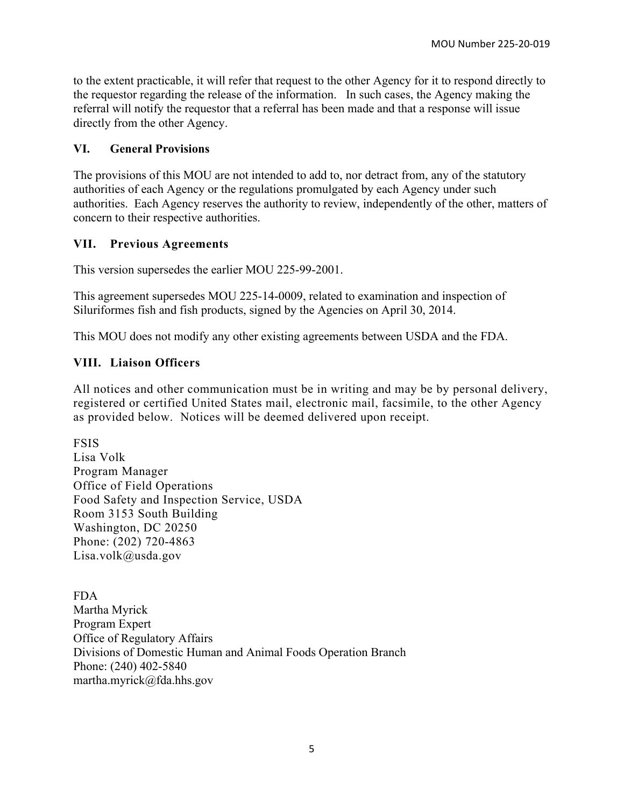to the extent practicable, it will refer that request to the other Agency for it to respond directly to the requestor regarding the release of the information. In such cases, the Agency making the referral will notify the requestor that a referral has been made and that a response will issue directly from the other Agency.

### **VI. General Provisions**

The provisions of this MOU are not intended to add to, nor detract from, any of the statutory authorities of each Agency or the regulations promulgated by each Agency under such authorities. Each Agency reserves the authority to review, independently of the other, matters of concern to their respective authorities.

#### **VII. Previous Agreements**

This version supersedes the earlier MOU 225-99-2001.

This agreement supersedes MOU 225-14-0009, related to examination and inspection of Siluriformes fish and fish products, signed by the Agencies on April 30, 2014.

This MOU does not modify any other existing agreements between USDA and the FDA.

# **VIII. Liaison Officers**

All notices and other communication must be in writing and may be by personal delivery, registered or certified United States mail, electronic mail, facsimile, to the other Agency as provided below. Notices will be deemed delivered upon receipt.

FSIS Lisa Volk Program Manager Office of Field Operations Food Safety and Inspection Service, USDA Room 3153 South Building Washington, DC 20250 Phone: (202) 720-4863 [Lisa.volk@usda.gov](mailto:Lisa.volk@usda.gov)

FDA Martha Myrick Program Expert Office of Regulatory Affairs Divisions of Domestic Human and Animal Foods Operation Branch Phone: (240) 402-5840 martha.myrick@fda.hhs.gov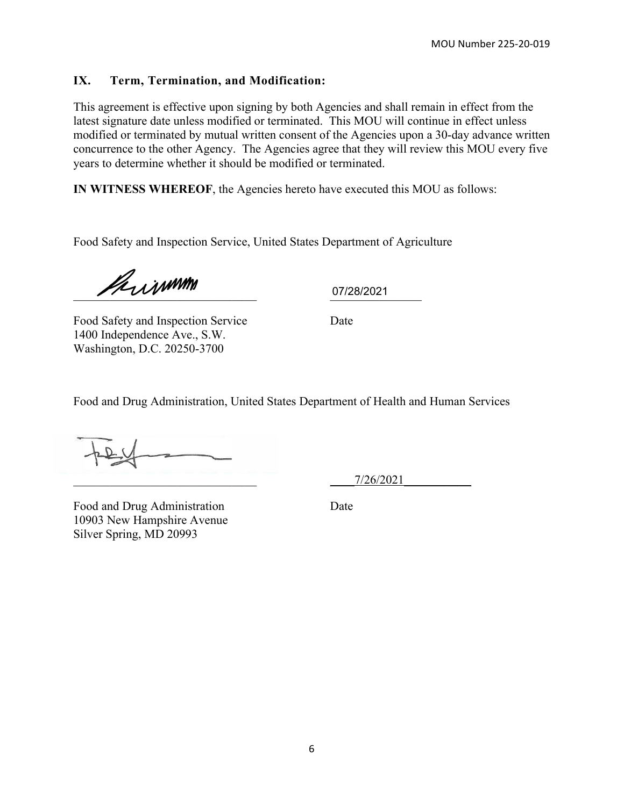# **IX. Term, Termination, and Modification:**

This agreement is effective upon signing by both Agencies and shall remain in effect from the latest signature date unless modified or terminated. This MOU will continue in effect unless modified or terminated by mutual written consent of the Agencies upon a 30-day advance written concurrence to the other Agency. The Agencies agree that they will review this MOU every five years to determine whether it should be modified or terminated.

**IN WITNESS WHEREOF**, the Agencies hereto have executed this MOU as follows:

Food Safety and Inspection Service, United States Department of Agriculture

 $U12812021$ 

07/28/2021

Food Safety and Inspection Service Date 1400 Independence Ave., S.W. Washington, D.C. 20250-3700

Food and Drug Administration, United States Department of Health and Human Services

\_\_\_\_\_\_\_\_\_\_\_\_\_\_\_\_\_\_\_\_\_\_\_\_\_\_\_\_\_\_ \_\_\_\_7/26/2021\_\_\_\_\_\_\_\_\_\_\_

Food and Drug Administration Date 10903 New Hampshire Avenue Silver Spring, MD 20993